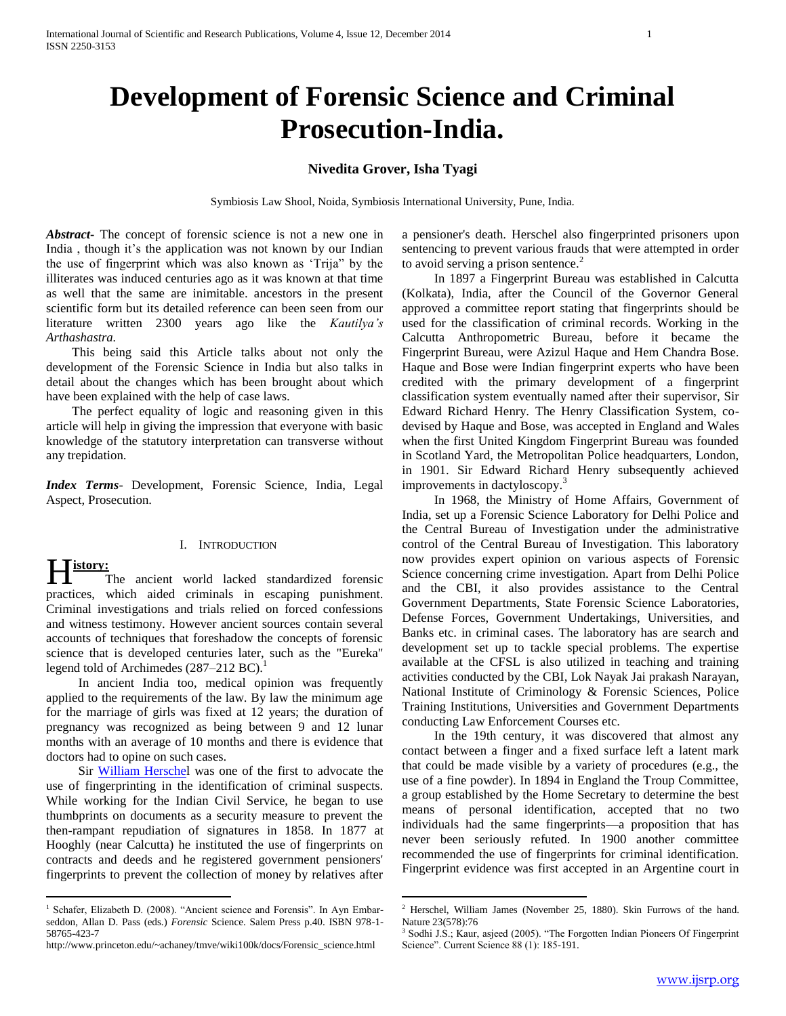# **Nivedita Grover, Isha Tyagi**

Symbiosis Law Shool, Noida, Symbiosis International University, Pune, India.

 $\overline{a}$ 

*Abstract***-** The concept of forensic science is not a new one in India , though it's the application was not known by our Indian the use of fingerprint which was also known as 'Trija'' by the illiterates was induced centuries ago as it was known at that time as well that the same are inimitable. ancestors in the present scientific form but its detailed reference can been seen from our literature written 2300 years ago like the *Kautilya's Arthashastra.*

 This being said this Article talks about not only the development of the Forensic Science in India but also talks in detail about the changes which has been brought about which have been explained with the help of case laws.

 The perfect equality of logic and reasoning given in this article will help in giving the impression that everyone with basic knowledge of the statutory interpretation can transverse without any trepidation.

*Index Terms*- Development, Forensic Science, India, Legal Aspect, Prosecution.

### I. INTRODUCTION

 $\overline{a}$ 

**istory:** H The ancient world lacked standardized forensic practices, which aided criminals in escaping punishment. Criminal investigations and trials relied on forced confessions and witness testimony. However ancient sources contain several accounts of techniques that foreshadow the concepts of forensic science that is developed centuries later, such as the "Eureka" legend told of Archimedes (287–212 BC).<sup>1</sup>

 In ancient India too, medical opinion was frequently applied to the requirements of the law. By law the minimum age for the marriage of girls was fixed at 12 years; the duration of pregnancy was recognized as being between 9 and 12 lunar months with an average of 10 months and there is evidence that doctors had to opine on such cases.

 Sir [William Herschel](http://en.wikipedia.org/wiki/William_Herschel) was one of the first to advocate the use of fingerprinting in the identification of criminal suspects. While working for the Indian Civil Service, he began to use thumbprints on documents as a security measure to prevent the then-rampant repudiation of signatures in 1858. In 1877 at Hooghly (near Calcutta) he instituted the use of fingerprints on contracts and deeds and he registered government pensioners' fingerprints to prevent the collection of money by relatives after a pensioner's death. Herschel also fingerprinted prisoners upon sentencing to prevent various frauds that were attempted in order to avoid serving a prison sentence. $<sup>2</sup>$ </sup>

 In 1897 a Fingerprint Bureau was established in Calcutta (Kolkata), India, after the Council of the Governor General approved a committee report stating that fingerprints should be used for the classification of criminal records. Working in the Calcutta Anthropometric Bureau, before it became the Fingerprint Bureau, were Azizul Haque and Hem Chandra Bose. Haque and Bose were Indian fingerprint experts who have been credited with the primary development of a fingerprint classification system eventually named after their supervisor, Sir Edward Richard Henry. The Henry Classification System, codevised by Haque and Bose, was accepted in England and Wales when the first United Kingdom Fingerprint Bureau was founded in Scotland Yard, the Metropolitan Police headquarters, London, in 1901. Sir Edward Richard Henry subsequently achieved improvements in dactyloscopy.<sup>3</sup>

 In 1968, the Ministry of Home Affairs, Government of India, set up a Forensic Science Laboratory for Delhi Police and the Central Bureau of Investigation under the administrative control of the Central Bureau of Investigation. This laboratory now provides expert opinion on various aspects of Forensic Science concerning crime investigation. Apart from Delhi Police and the CBI, it also provides assistance to the Central Government Departments, State Forensic Science Laboratories, Defense Forces, Government Undertakings, Universities, and Banks etc. in criminal cases. The laboratory has are search and development set up to tackle special problems. The expertise available at the CFSL is also utilized in teaching and training activities conducted by the CBI, Lok Nayak Jai prakash Narayan, National Institute of Criminology & Forensic Sciences, Police Training Institutions, Universities and Government Departments conducting Law Enforcement Courses etc.

 In the 19th century, it was discovered that almost any contact between a finger and a fixed surface left a latent mark that could be made visible by a variety of procedures (e.g., the use of a fine powder). In 1894 in England the Troup Committee, a group established by the Home Secretary to determine the best means of personal identification, accepted that no two individuals had the same fingerprints—a proposition that has never been seriously refuted. In 1900 another committee recommended the use of fingerprints for criminal identification. Fingerprint evidence was first accepted in an Argentine court in

<sup>&</sup>lt;sup>1</sup> Schafer, Elizabeth D. (2008). "Ancient science and Forensis". In Ayn Embarseddon, Allan D. Pass (eds.) *Forensic* Science. Salem Press p.40. ISBN 978-1- 58765-423-7

http://www.princeton.edu/~achaney/tmve/wiki100k/docs/Forensic\_science.html

 $2^2$  Herschel, William James (November 25, 1880). Skin Furrows of the hand. Nature 23(578):76

<sup>&</sup>lt;sup>3</sup> Sodhi J.S.; Kaur, asjeed (2005). "The Forgotten Indian Pioneers Of Fingerprint Science". Current Science 88 (1): 185-191.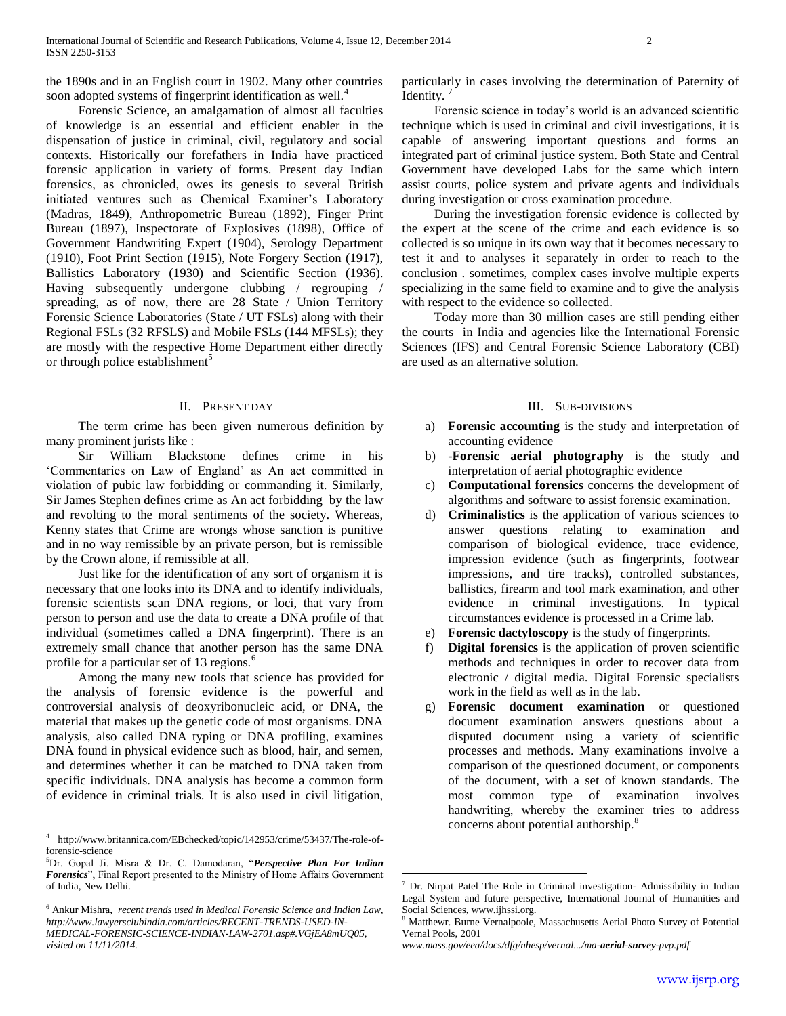the 1890s and in an English court in 1902. Many other countries soon adopted systems of fingerprint identification as well.<sup>4</sup>

 Forensic Science, an amalgamation of almost all faculties of knowledge is an essential and efficient enabler in the dispensation of justice in criminal, civil, regulatory and social contexts. Historically our forefathers in India have practiced forensic application in variety of forms. Present day Indian forensics, as chronicled, owes its genesis to several British initiated ventures such as Chemical Examiner's Laboratory (Madras, 1849), Anthropometric Bureau (1892), Finger Print Bureau (1897), Inspectorate of Explosives (1898), Office of Government Handwriting Expert (1904), Serology Department (1910), Foot Print Section (1915), Note Forgery Section (1917), Ballistics Laboratory (1930) and Scientific Section (1936). Having subsequently undergone clubbing / regrouping / spreading, as of now, there are 28 State / Union Territory Forensic Science Laboratories (State / UT FSLs) along with their Regional FSLs (32 RFSLS) and Mobile FSLs (144 MFSLs); they are mostly with the respective Home Department either directly or through police establishment<sup>5</sup>

#### II. PRESENT DAY

 The term crime has been given numerous definition by many prominent jurists like :

 Sir William Blackstone defines crime in his ‗Commentaries on Law of England' as An act committed in violation of pubic law forbidding or commanding it. Similarly, Sir James Stephen defines crime as An act forbidding by the law and revolting to the moral sentiments of the society. Whereas, Kenny states that Crime are wrongs whose sanction is punitive and in no way remissible by an private person, but is remissible by the Crown alone, if remissible at all.

 Just like for the identification of any sort of organism it is necessary that one looks into its DNA and to identify individuals, forensic scientists scan DNA regions, or loci, that vary from person to person and use the data to create a DNA profile of that individual (sometimes called a DNA fingerprint). There is an extremely small chance that another person has the same DNA profile for a particular set of 13 regions.<sup>6</sup>

 Among the many new tools that science has provided for the analysis of forensic evidence is the powerful and controversial analysis of deoxyribonucleic acid, or DNA, the material that makes up the genetic code of most organisms. DNA analysis, also called DNA typing or DNA profiling, examines DNA found in physical evidence such as blood, hair, and semen, and determines whether it can be matched to DNA taken from specific individuals. DNA analysis has become a common form of evidence in criminal trials. It is also used in civil litigation,

 $\overline{a}$ 

particularly in cases involving the determination of Paternity of Identity.

 Forensic science in today's world is an advanced scientific technique which is used in criminal and civil investigations, it is capable of answering important questions and forms an integrated part of criminal justice system. Both State and Central Government have developed Labs for the same which intern assist courts, police system and private agents and individuals during investigation or cross examination procedure.

 During the investigation forensic evidence is collected by the expert at the scene of the crime and each evidence is so collected is so unique in its own way that it becomes necessary to test it and to analyses it separately in order to reach to the conclusion . sometimes, complex cases involve multiple experts specializing in the same field to examine and to give the analysis with respect to the evidence so collected.

 Today more than 30 million cases are still pending either the courts in India and agencies like the International Forensic Sciences (IFS) and Central Forensic Science Laboratory (CBI) are used as an alternative solution.

#### III. SUB-DIVISIONS

- a) **Forensic accounting** is the study and interpretation of accounting evidence
- b) -**Forensic aerial photography** is the study and interpretation of aerial photographic evidence
- c) **Computational forensics** concerns the development of algorithms and software to assist forensic examination.
- d) **Criminalistics** is the application of various sciences to answer questions relating to examination and comparison of biological evidence, trace evidence, impression evidence (such as fingerprints, footwear impressions, and tire tracks), controlled substances, ballistics, firearm and tool mark examination, and other evidence in criminal investigations. In typical circumstances evidence is processed in a Crime lab.
- e) **Forensic dactyloscopy** is the study of fingerprints.
- f) **Digital forensics** is the application of proven scientific methods and techniques in order to recover data from electronic / digital media. Digital Forensic specialists work in the field as well as in the lab.
- g) **Forensic document examination** or questioned document examination answers questions about a disputed document using a variety of scientific processes and methods. Many examinations involve a comparison of the questioned document, or components of the document, with a set of known standards. The most common type of examination involves handwriting, whereby the examiner tries to address concerns about potential authorship.<sup>8</sup>

 $\overline{a}$ 

<sup>4</sup> http://www.britannica.com/EBchecked/topic/142953/crime/53437/The-role-offorensic-science

<sup>&</sup>lt;sup>5</sup>Dr. Gopal Ji. Misra & Dr. C. Damodaran, "Perspective Plan For Indian *Forensics*‖, Final Report presented to the Ministry of Home Affairs Government of India, New Delhi.

<sup>6</sup> Ankur Mishra, *recent trends used in Medical Forensic Science and Indian Law, http://www.lawyersclubindia.com/articles/RECENT-TRENDS-USED-IN-MEDICAL-FORENSIC-SCIENCE-INDIAN-LAW-2701.asp#.VGjEA8mUQ05, visited on 11/11/2014.*

<sup>7</sup> Dr. Nirpat Patel The Role in Criminal investigation- Admissibility in Indian Legal System and future perspective, International Journal of Humanities and Social Sciences, www.ijhssi.org.

<sup>&</sup>lt;sup>8</sup> Matthewr. Burne Vernalpoole, Massachusetts Aerial Photo Survey of Potential Vernal Pools, 2001

*www.mass.gov/eea/docs/dfg/nhesp/vernal.../ma-aerial-survey-pvp.pdf*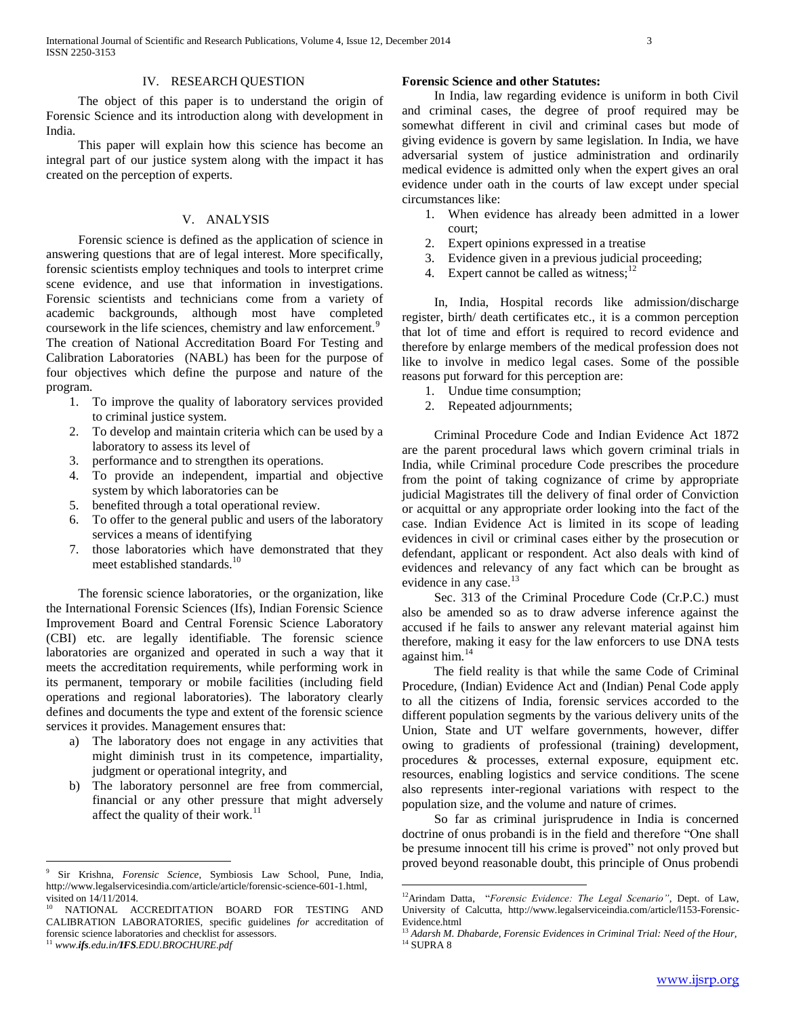### IV. RESEARCH QUESTION

 The object of this paper is to understand the origin of Forensic Science and its introduction along with development in India.

 This paper will explain how this science has become an integral part of our justice system along with the impact it has created on the perception of experts.

### V. ANALYSIS

 Forensic science is defined as the application of science in answering questions that are of legal interest. More specifically, forensic scientists employ techniques and tools to interpret crime scene evidence, and use that information in investigations. Forensic scientists and technicians come from a variety of academic backgrounds, although most have completed coursework in the life sciences, chemistry and law enforcement.<sup>9</sup> The creation of National Accreditation Board For Testing and Calibration Laboratories (NABL) has been for the purpose of four objectives which define the purpose and nature of the program.

- 1. To improve the quality of laboratory services provided to criminal justice system.
- 2. To develop and maintain criteria which can be used by a laboratory to assess its level of
- 3. performance and to strengthen its operations.
- 4. To provide an independent, impartial and objective system by which laboratories can be
- 5. benefited through a total operational review.
- 6. To offer to the general public and users of the laboratory services a means of identifying
- 7. those laboratories which have demonstrated that they meet established standards.<sup>10</sup>

 The forensic science laboratories, or the organization, like the International Forensic Sciences (Ifs), Indian Forensic Science Improvement Board and Central Forensic Science Laboratory (CBI) etc. are legally identifiable. The forensic science laboratories are organized and operated in such a way that it meets the accreditation requirements, while performing work in its permanent, temporary or mobile facilities (including field operations and regional laboratories). The laboratory clearly defines and documents the type and extent of the forensic science services it provides. Management ensures that:

- a) The laboratory does not engage in any activities that might diminish trust in its competence, impartiality, judgment or operational integrity, and
- b) The laboratory personnel are free from commercial, financial or any other pressure that might adversely affect the quality of their work.<sup>11</sup>

 $\overline{a}$ 

#### **Forensic Science and other Statutes:**

 In India, law regarding evidence is uniform in both Civil and criminal cases, the degree of proof required may be somewhat different in civil and criminal cases but mode of giving evidence is govern by same legislation. In India, we have adversarial system of justice administration and ordinarily medical evidence is admitted only when the expert gives an oral evidence under oath in the courts of law except under special circumstances like:

- 1. When evidence has already been admitted in a lower court;
- 2. Expert opinions expressed in a treatise
- 3. Evidence given in a previous judicial proceeding;
- 4. Expert cannot be called as witness;<sup>12</sup>

 In, India, Hospital records like admission/discharge register, birth/ death certificates etc., it is a common perception that lot of time and effort is required to record evidence and therefore by enlarge members of the medical profession does not like to involve in medico legal cases. Some of the possible reasons put forward for this perception are:

- 1. Undue time consumption;
- 2. Repeated adjournments;

 Criminal Procedure Code and Indian Evidence Act 1872 are the parent procedural laws which govern criminal trials in India, while Criminal procedure Code prescribes the procedure from the point of taking cognizance of crime by appropriate judicial Magistrates till the delivery of final order of Conviction or acquittal or any appropriate order looking into the fact of the case. Indian Evidence Act is limited in its scope of leading evidences in civil or criminal cases either by the prosecution or defendant, applicant or respondent. Act also deals with kind of evidences and relevancy of any fact which can be brought as evidence in any case.<sup>13</sup>

 Sec. 313 of the Criminal Procedure Code (Cr.P.C.) must also be amended so as to draw adverse inference against the accused if he fails to answer any relevant material against him therefore, making it easy for the law enforcers to use DNA tests against him.<sup>14</sup>

 The field reality is that while the same Code of Criminal Procedure, (Indian) Evidence Act and (Indian) Penal Code apply to all the citizens of India, forensic services accorded to the different population segments by the various delivery units of the Union, State and UT welfare governments, however, differ owing to gradients of professional (training) development, procedures & processes, external exposure, equipment etc. resources, enabling logistics and service conditions. The scene also represents inter-regional variations with respect to the population size, and the volume and nature of crimes.

 So far as criminal jurisprudence in India is concerned doctrine of onus probandi is in the field and therefore "One shall be presume innocent till his crime is proved" not only proved but proved beyond reasonable doubt, this principle of Onus probendi

 $\overline{a}$ 

<sup>9</sup> Sir Krishna, *Forensic Science*, Symbiosis Law School, Pune, India, http://www.legalservicesindia.com/article/article/forensic-science-601-1.html, visited on 14/11/2014.

<sup>10</sup> NATIONAL ACCREDITATION BOARD FOR TESTING AND CALIBRATION LABORATORIES, specific guidelines *for* accreditation of forensic science laboratories and checklist for assessors.

<sup>11</sup> *www.ifs.edu.in/IFS.EDU.BROCHURE.pdf*

<sup>&</sup>lt;sup>12</sup>Arindam Datta, "Forensic Evidence: The Legal Scenario", Dept. of Law, University of Calcutta, http://www.legalserviceindia.com/article/l153-Forensic-Evidence.html

<sup>13</sup> *Adarsh M. Dhabarde, Forensic Evidences in Criminal Trial: Need of the Hour,*   $^\mathrm{14}$  SUPRA  $8$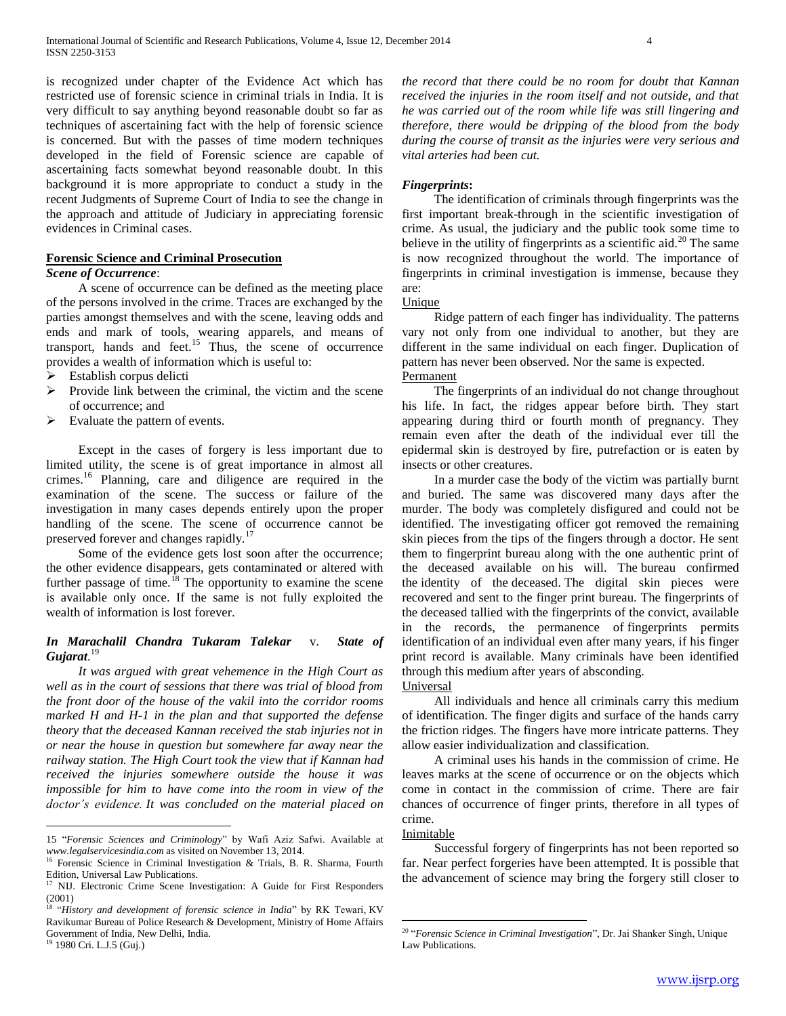is recognized under chapter of the Evidence Act which has restricted use of forensic science in criminal trials in India. It is very difficult to say anything beyond reasonable doubt so far as techniques of ascertaining fact with the help of forensic science is concerned. But with the passes of time modern techniques developed in the field of Forensic science are capable of ascertaining facts somewhat beyond reasonable doubt. In this background it is more appropriate to conduct a study in the recent Judgments of Supreme Court of India to see the change in the approach and attitude of Judiciary in appreciating forensic evidences in Criminal cases.

# **Forensic Science and Criminal Prosecution**

## *Scene of Occurrence*:

 A scene of occurrence can be defined as the meeting place of the persons involved in the crime. Traces are exchanged by the parties amongst themselves and with the scene, leaving odds and ends and mark of tools, wearing apparels, and means of transport, hands and feet.<sup>15</sup> Thus, the scene of occurrence provides a wealth of information which is useful to:

- $\triangleright$  Establish corpus delicti
- Provide link between the criminal, the victim and the scene of occurrence; and
- Evaluate the pattern of events.

 Except in the cases of forgery is less important due to limited utility, the scene is of great importance in almost all crimes.<sup>16</sup> Planning, care and diligence are required in the examination of the scene. The success or failure of the investigation in many cases depends entirely upon the proper handling of the scene. The scene of occurrence cannot be preserved forever and changes rapidly.<sup>17</sup>

 Some of the evidence gets lost soon after the occurrence; the other evidence disappears, gets contaminated or altered with further passage of time.<sup>18</sup> The opportunity to examine the scene is available only once. If the same is not fully exploited the wealth of information is lost forever.

# *In Marachalil Chandra Tukaram Talekar* v. *State of Gujarat*. 19

 *It was argued with great vehemence in the High Court as well as in the court of sessions that there was trial of blood from the front door of the house of the vakil into the corridor rooms marked H and H-1 in the plan and that supported the defense theory that the deceased Kannan received the stab injuries not in or near the house in question but somewhere far away near the railway station. The High Court took the view that if Kannan had received the injuries somewhere outside the house it was impossible for him to have come into the room in view of the doctor's evidence. It was concluded on the material placed on* 

 $\overline{a}$ 

*the record that there could be no room for doubt that Kannan received the injuries in the room itself and not outside, and that he was carried out of the room while life was still lingering and therefore, there would be dripping of the blood from the body during the course of transit as the injuries were very serious and vital arteries had been cut.*

## *Fingerprints***:**

 The identification of criminals through fingerprints was the first important break-through in the scientific investigation of crime. As usual, the judiciary and the public took some time to believe in the utility of fingerprints as a scientific aid.<sup>20</sup> The same is now recognized throughout the world. The importance of fingerprints in criminal investigation is immense, because they are:

### Unique

 Ridge pattern of each finger has individuality. The patterns vary not only from one individual to another, but they are different in the same individual on each finger. Duplication of pattern has never been observed. Nor the same is expected. Permanent

 The fingerprints of an individual do not change throughout his life. In fact, the ridges appear before birth. They start appearing during third or fourth month of pregnancy. They remain even after the death of the individual ever till the epidermal skin is destroyed by fire, putrefaction or is eaten by insects or other creatures.

 In a murder case the body of the victim was partially burnt and buried. The same was discovered many days after the murder. The body was completely disfigured and could not be identified. The investigating officer got removed the remaining skin pieces from the tips of the fingers through a doctor. He sent them to fingerprint bureau along with the one authentic print of the deceased available on his will. The bureau confirmed the identity of the deceased. The digital skin pieces were recovered and sent to the finger print bureau. The fingerprints of the deceased tallied with the fingerprints of the convict, available in the records, the permanence of fingerprints permits identification of an individual even after many years, if his finger print record is available. Many criminals have been identified through this medium after years of absconding.

Universal

 All individuals and hence all criminals carry this medium of identification. The finger digits and surface of the hands carry the friction ridges. The fingers have more intricate patterns. They allow easier individualization and classification.

 A criminal uses his hands in the commission of crime. He leaves marks at the scene of occurrence or on the objects which come in contact in the commission of crime. There are fair chances of occurrence of finger prints, therefore in all types of crime.

### **Inimitable**

 $\overline{a}$ 

 Successful forgery of fingerprints has not been reported so far. Near perfect forgeries have been attempted. It is possible that the advancement of science may bring the forgery still closer to

<sup>15 &</sup>quot;Forensic Sciences and Criminology" by Wafi Aziz Safwi. Available at *www.legalservicesindia.com* as visited on November 13, 2014.

<sup>&</sup>lt;sup>16</sup> Forensic Science in Criminal Investigation & Trials, B. R. Sharma, Fourth Edition, Universal Law Publications.

<sup>17</sup> NIJ. Electronic Crime Scene Investigation: A Guide for First Responders (2001)

<sup>&</sup>lt;sup>18</sup> "History and development of forensic science in India" by RK Tewari, KV Ravikumar Bureau of Police Research & Development, Ministry of Home Affairs Government of India, New Delhi, India.

 $191980$  Cri. L.J.5 (Guj.)

<sup>&</sup>lt;sup>20</sup> "Forensic Science in Criminal Investigation", Dr. Jai Shanker Singh, Unique Law Publications.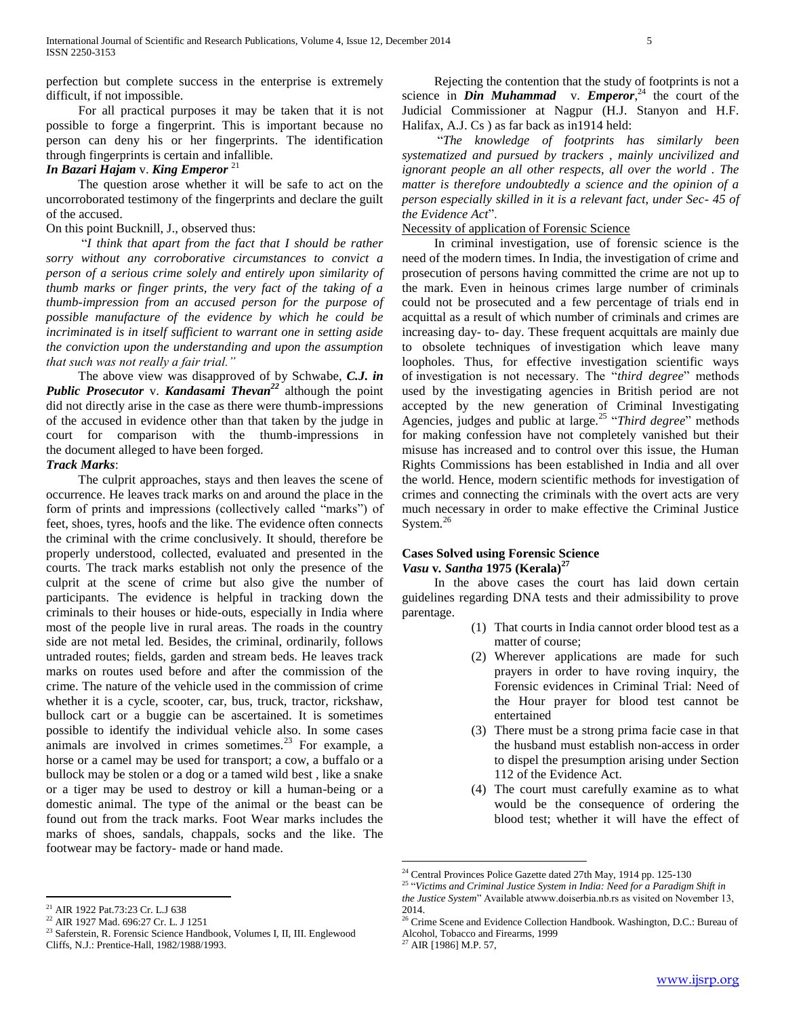perfection but complete success in the enterprise is extremely difficult, if not impossible.

 For all practical purposes it may be taken that it is not possible to forge a fingerprint. This is important because no person can deny his or her fingerprints. The identification through fingerprints is certain and infallible.

# *In Bazari Hajam* v. *King Emperor* <sup>21</sup>

 The question arose whether it will be safe to act on the uncorroborated testimony of the fingerprints and declare the guilt of the accused.

# On this point Bucknill, J., observed thus:

 ―*I think that apart from the fact that I should be rather sorry without any corroborative circumstances to convict a person of a serious crime solely and entirely upon similarity of thumb marks or finger prints, the very fact of the taking of a thumb-impression from an accused person for the purpose of possible manufacture of the evidence by which he could be incriminated is in itself sufficient to warrant one in setting aside the conviction upon the understanding and upon the assumption that such was not really a fair trial."*

 The above view was disapproved of by Schwabe, *C.J. in Public Prosecutor* v. *Kandasami Thevan<sup>22</sup>* although the point did not directly arise in the case as there were thumb-impressions of the accused in evidence other than that taken by the judge in court for comparison with the thumb-impressions in the document alleged to have been forged.

## *Track Marks*:

 The culprit approaches, stays and then leaves the scene of occurrence. He leaves track marks on and around the place in the form of prints and impressions (collectively called "marks") of feet, shoes, tyres, hoofs and the like. The evidence often connects the criminal with the crime conclusively. It should, therefore be properly understood, collected, evaluated and presented in the courts. The track marks establish not only the presence of the culprit at the scene of crime but also give the number of participants. The evidence is helpful in tracking down the criminals to their houses or hide-outs, especially in India where most of the people live in rural areas. The roads in the country side are not metal led. Besides, the criminal, ordinarily, follows untraded routes; fields, garden and stream beds. He leaves track marks on routes used before and after the commission of the crime. The nature of the vehicle used in the commission of crime whether it is a cycle, scooter, car, bus, truck, tractor, rickshaw, bullock cart or a buggie can be ascertained. It is sometimes possible to identify the individual vehicle also. In some cases animals are involved in crimes sometimes.<sup>23</sup> For example, a horse or a camel may be used for transport; a cow, a buffalo or a bullock may be stolen or a dog or a tamed wild best , like a snake or a tiger may be used to destroy or kill a human-being or a domestic animal. The type of the animal or the beast can be found out from the track marks. Foot Wear marks includes the marks of shoes, sandals, chappals, socks and the like. The footwear may be factory- made or hand made.

 $\overline{a}$ 

 Rejecting the contention that the study of footprints is not a science in *Din Muhammad* v. *Emperor*, <sup>24</sup> the court of the Judicial Commissioner at Nagpur (H.J. Stanyon and H.F. Halifax, A.J. Cs ) as far back as in1914 held:

 ―*The knowledge of footprints has similarly been systematized and pursued by trackers , mainly uncivilized and ignorant people an all other respects, all over the world. The matter is therefore undoubtedly a science and the opinion of a person especially skilled in it is a relevant fact, under Sec- 45 of*  the Evidence Act".

### Necessity of application of Forensic Science

 In criminal investigation, use of forensic science is the need of the modern times. In India, the investigation of crime and prosecution of persons having committed the crime are not up to the mark. Even in heinous crimes large number of criminals could not be prosecuted and a few percentage of trials end in acquittal as a result of which number of criminals and crimes are increasing day- to- day. These frequent acquittals are mainly due to obsolete techniques of investigation which leave many loopholes. Thus, for effective investigation scientific ways of investigation is not necessary. The "*third degree*" methods used by the investigating agencies in British period are not accepted by the new generation of Criminal Investigating Agencies, judges and public at large.<sup>25</sup> "Third degree" methods for making confession have not completely vanished but their misuse has increased and to control over this issue, the Human Rights Commissions has been established in India and all over the world. Hence, modern scientific methods for investigation of crimes and connecting the criminals with the overt acts are very much necessary in order to make effective the Criminal Justice System.<sup>26</sup>

## **Cases Solved using Forensic Science** *Vasu* **v***. Santha* **1975 (Kerala)<sup>27</sup>**

 In the above cases the court has laid down certain guidelines regarding DNA tests and their admissibility to prove parentage.

- (1) That courts in India cannot order blood test as a matter of course;
- (2) Wherever applications are made for such prayers in order to have roving inquiry, the Forensic evidences in Criminal Trial: Need of the Hour prayer for blood test cannot be entertained
- (3) There must be a strong prima facie case in that the husband must establish non-access in order to dispel the presumption arising under Section 112 of the Evidence Act.
- (4) The court must carefully examine as to what would be the consequence of ordering the blood test; whether it will have the effect of

 $\overline{a}$ 

<sup>21</sup> AIR 1922 Pat.73:23 Cr. L.J 638

<sup>22</sup> AIR 1927 Mad. 696:27 Cr. L. J 1251

<sup>&</sup>lt;sup>23</sup> Saferstein, R. Forensic Science Handbook, Volumes I, II, III. Englewood Cliffs, N.J.: Prentice-Hall, 1982/1988/1993.

<sup>&</sup>lt;sup>24</sup> Central Provinces Police Gazette dated 27th May, 1914 pp. 125-130

<sup>&</sup>lt;sup>25</sup> "Victims and Criminal Justice System in India: Need for a Paradigm Shift in *the Justice System*" Available atwww.doiserbia.nb.rs as visited on November 13, 2014.

<sup>&</sup>lt;sup>26</sup> Crime Scene and Evidence Collection Handbook. Washington, D.C.: Bureau of Alcohol, Tobacco and Firearms, 1999

<sup>27</sup> AIR [1986] M.P. 57,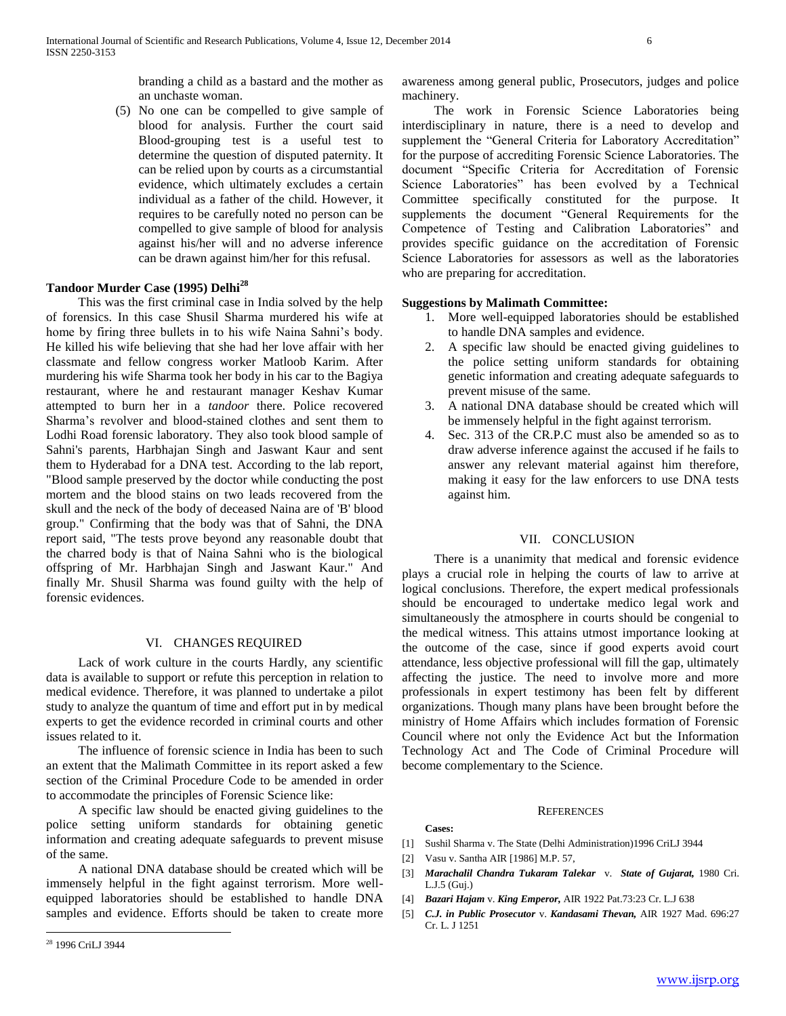branding a child as a bastard and the mother as an unchaste woman.

(5) No one can be compelled to give sample of blood for analysis. Further the court said Blood-grouping test is a useful test to determine the question of disputed paternity. It can be relied upon by courts as a circumstantial evidence, which ultimately excludes a certain individual as a father of the child. However, it requires to be carefully noted no person can be compelled to give sample of blood for analysis against his/her will and no adverse inference can be drawn against him/her for this refusal.

# **Tandoor Murder Case (1995) Delhi<sup>28</sup>**

 This was the first criminal case in India solved by the help of forensics. In this case Shusil Sharma murdered his wife at home by firing three bullets in to his wife Naina Sahni's body. He killed his wife believing that she had her love affair with her classmate and fellow congress worker Matloob Karim. After murdering his wife Sharma took her body in his car to the Bagiya restaurant, where he and restaurant manager Keshav Kumar attempted to burn her in a *tandoor* there. Police recovered Sharma's revolver and blood-stained clothes and sent them to Lodhi Road forensic laboratory. They also took blood sample of Sahni's parents, Harbhajan Singh and Jaswant Kaur and sent them to Hyderabad for a DNA test. According to the lab report, "Blood sample preserved by the doctor while conducting the post mortem and the blood stains on two leads recovered from the skull and the neck of the body of deceased Naina are of 'B' blood group." Confirming that the body was that of Sahni, the DNA report said, "The tests prove beyond any reasonable doubt that the charred body is that of Naina Sahni who is the biological offspring of Mr. Harbhajan Singh and Jaswant Kaur." And finally Mr. Shusil Sharma was found guilty with the help of forensic evidences.

# VI. CHANGES REQUIRED

 Lack of work culture in the courts Hardly, any scientific data is available to support or refute this perception in relation to medical evidence. Therefore, it was planned to undertake a pilot study to analyze the quantum of time and effort put in by medical experts to get the evidence recorded in criminal courts and other issues related to it.

 The influence of forensic science in India has been to such an extent that the Malimath Committee in its report asked a few section of the Criminal Procedure Code to be amended in order to accommodate the principles of Forensic Science like:

 A specific law should be enacted giving guidelines to the police setting uniform standards for obtaining genetic information and creating adequate safeguards to prevent misuse of the same.

 A national DNA database should be created which will be immensely helpful in the fight against terrorism. More wellequipped laboratories should be established to handle DNA samples and evidence. Efforts should be taken to create more awareness among general public, Prosecutors, judges and police machinery.

 The work in Forensic Science Laboratories being interdisciplinary in nature, there is a need to develop and supplement the "General Criteria for Laboratory Accreditation" for the purpose of accrediting Forensic Science Laboratories. The document "Specific Criteria for Accreditation of Forensic Science Laboratories" has been evolved by a Technical Committee specifically constituted for the purpose. It supplements the document "General Requirements for the Competence of Testing and Calibration Laboratories" and provides specific guidance on the accreditation of Forensic Science Laboratories for assessors as well as the laboratories who are preparing for accreditation.

# **Suggestions by Malimath Committee:**

- 1. More well-equipped laboratories should be established to handle DNA samples and evidence.
- 2. A specific law should be enacted giving guidelines to the police setting uniform standards for obtaining genetic information and creating adequate safeguards to prevent misuse of the same.
- 3. A national DNA database should be created which will be immensely helpful in the fight against terrorism.
- 4. Sec. 313 of the CR.P.C must also be amended so as to draw adverse inference against the accused if he fails to answer any relevant material against him therefore, making it easy for the law enforcers to use DNA tests against him.

# VII. CONCLUSION

 There is a unanimity that medical and forensic evidence plays a crucial role in helping the courts of law to arrive at logical conclusions. Therefore, the expert medical professionals should be encouraged to undertake medico legal work and simultaneously the atmosphere in courts should be congenial to the medical witness. This attains utmost importance looking at the outcome of the case, since if good experts avoid court attendance, less objective professional will fill the gap, ultimately affecting the justice. The need to involve more and more professionals in expert testimony has been felt by different organizations. Though many plans have been brought before the ministry of Home Affairs which includes formation of Forensic Council where not only the Evidence Act but the Information Technology Act and The Code of Criminal Procedure will become complementary to the Science.

# **Cases:**

- [1] Sushil Sharma v. The State (Delhi Administration)1996 CriLJ 3944
- [2] Vasu v. Santha AIR [1986] M.P. 57,
- [3] *Marachalil Chandra Tukaram Talekar* v. *State of Gujarat,* 1980 Cri. L.J.5 (Guj.)

**REFERENCES** 

- [4] *Bazari Hajam* v. *King Emperor,* AIR 1922 Pat.73:23 Cr. L.J 638
- [5] *C.J. in Public Prosecutor* v. *Kandasami Thevan,* AIR 1927 Mad. 696:27 Cr. L. J 1251

 $\overline{a}$ <sup>28</sup> 1996 CriLJ 3944